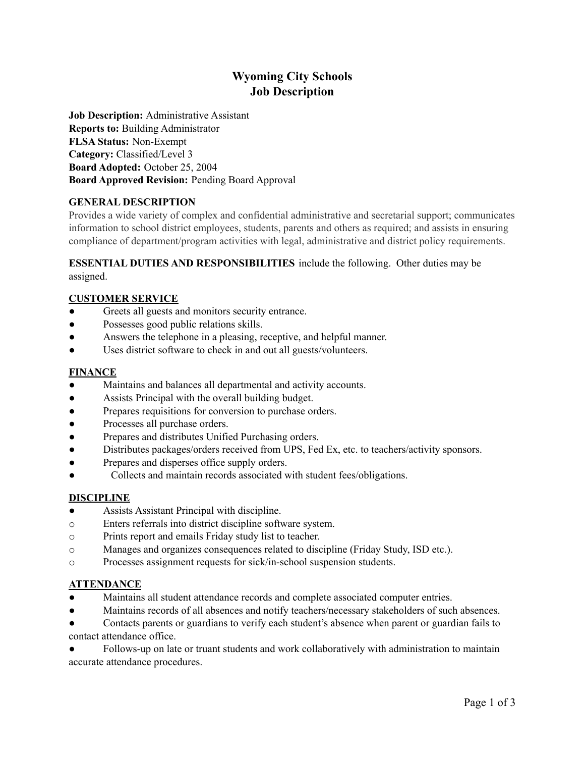# **Wyoming City Schools Job Description**

**Job Description:** Administrative Assistant **Reports to:** Building Administrator **FLSA Status:** Non-Exempt **Category:** Classified/Level 3 **Board Adopted:** October 25, 2004 **Board Approved Revision:** Pending Board Approval

# **GENERAL DESCRIPTION**

Provides a wide variety of complex and confidential administrative and secretarial support; communicates information to school district employees, students, parents and others as required; and assists in ensuring compliance of department/program activities with legal, administrative and district policy requirements.

#### **ESSENTIAL DUTIES AND RESPONSIBILITIES** include the following. Other duties may be assigned.

## **CUSTOMER SERVICE**

- Greets all guests and monitors security entrance.
- Possesses good public relations skills.
- Answers the telephone in a pleasing, receptive, and helpful manner.
- Uses district software to check in and out all guests/volunteers.

## **FINANCE**

- Maintains and balances all departmental and activity accounts.
- Assists Principal with the overall building budget.
- Prepares requisitions for conversion to purchase orders.
- Processes all purchase orders.
- Prepares and distributes Unified Purchasing orders.
- Distributes packages/orders received from UPS, Fed Ex, etc. to teachers/activity sponsors.
- Prepares and disperses office supply orders.
- Collects and maintain records associated with student fees/obligations.

# **DISCIPLINE**

- Assists Assistant Principal with discipline.
- o Enters referrals into district discipline software system.
- o Prints report and emails Friday study list to teacher.
- o Manages and organizes consequences related to discipline (Friday Study, ISD etc.).
- o Processes assignment requests for sick/in-school suspension students.

#### **ATTENDANCE**

- Maintains all student attendance records and complete associated computer entries.
- Maintains records of all absences and notify teachers/necessary stakeholders of such absences.
- Contacts parents or guardians to verify each student's absence when parent or guardian fails to contact attendance office.

Follows-up on late or truant students and work collaboratively with administration to maintain accurate attendance procedures.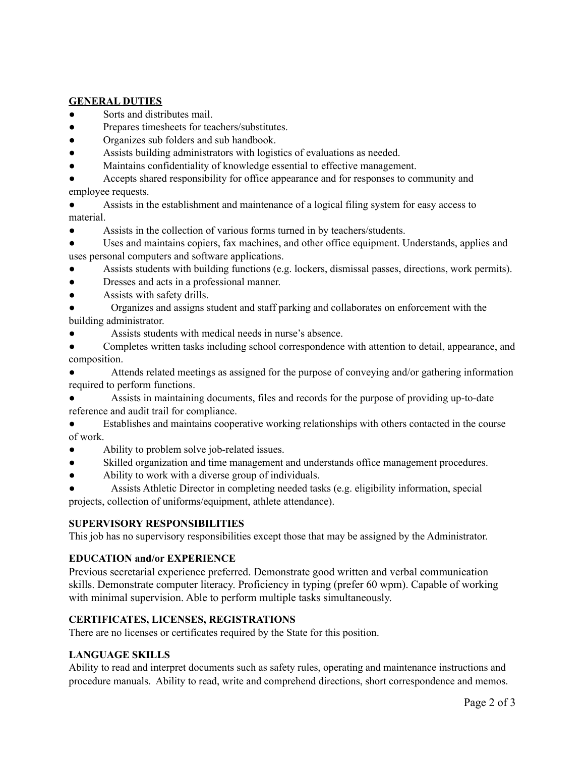## **GENERAL DUTIES**

- Sorts and distributes mail.
- Prepares timesheets for teachers/substitutes.
- Organizes sub folders and sub handbook.
- Assists building administrators with logistics of evaluations as needed.
- Maintains confidentiality of knowledge essential to effective management.

Accepts shared responsibility for office appearance and for responses to community and employee requests.

Assists in the establishment and maintenance of a logical filing system for easy access to material.

Assists in the collection of various forms turned in by teachers/students.

Uses and maintains copiers, fax machines, and other office equipment. Understands, applies and uses personal computers and software applications.

- Assists students with building functions (e.g. lockers, dismissal passes, directions, work permits).
- Dresses and acts in a professional manner.
- Assists with safety drills.
- Organizes and assigns student and staff parking and collaborates on enforcement with the building administrator.
- Assists students with medical needs in nurse's absence.

Completes written tasks including school correspondence with attention to detail, appearance, and composition.

Attends related meetings as assigned for the purpose of conveying and/or gathering information required to perform functions.

Assists in maintaining documents, files and records for the purpose of providing up-to-date reference and audit trail for compliance.

● Establishes and maintains cooperative working relationships with others contacted in the course of work.

- Ability to problem solve job-related issues.
- Skilled organization and time management and understands office management procedures.
- Ability to work with a diverse group of individuals.

Assists Athletic Director in completing needed tasks (e.g. eligibility information, special projects, collection of uniforms/equipment, athlete attendance).

#### **SUPERVISORY RESPONSIBILITIES**

This job has no supervisory responsibilities except those that may be assigned by the Administrator.

#### **EDUCATION and/or EXPERIENCE**

Previous secretarial experience preferred. Demonstrate good written and verbal communication skills. Demonstrate computer literacy. Proficiency in typing (prefer 60 wpm). Capable of working with minimal supervision. Able to perform multiple tasks simultaneously.

# **CERTIFICATES, LICENSES, REGISTRATIONS**

There are no licenses or certificates required by the State for this position.

# **LANGUAGE SKILLS**

Ability to read and interpret documents such as safety rules, operating and maintenance instructions and procedure manuals. Ability to read, write and comprehend directions, short correspondence and memos.